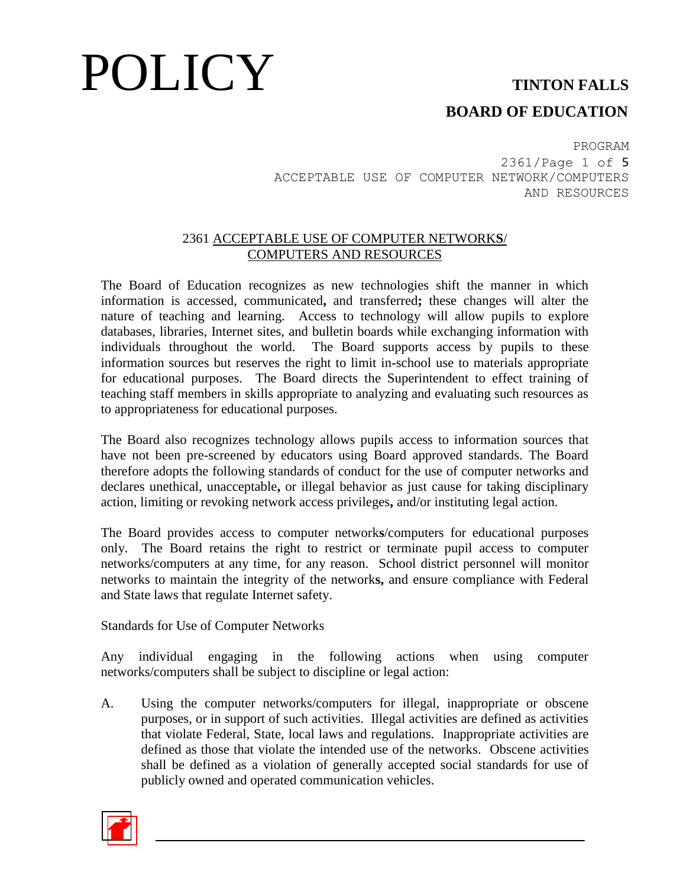### **BOARD OF EDUCATION**

PROGRAM 2361/Page 1 of 5 ACCEPTABLE USE OF COMPUTER NETWORK/COMPUTERS AND RESOURCES

### 2361 ACCEPTABLE USE OF COMPUTER NETWORK**S**/ COMPUTERS AND RESOURCES

The Board of Education recognizes as new technologies shift the manner in which information is accessed, communicated**,** and transferred**;** these changes will alter the nature of teaching and learning. Access to technology will allow pupils to explore databases, libraries, Internet sites, and bulletin boards while exchanging information with individuals throughout the world. The Board supports access by pupils to these information sources but reserves the right to limit in**-**school use to materials appropriate for educational purposes. The Board directs the Superintendent to effect training of teaching staff members in skills appropriate to analyzing and evaluating such resources as to appropriateness for educational purposes.

The Board also recognizes technology allows pupils access to information sources that have not been pre-screened by educators using Board approved standards. The Board therefore adopts the following standards of conduct for the use of computer networks and declares unethical, unacceptable**,** or illegal behavior as just cause for taking disciplinary action, limiting or revoking network access privileges**,** and/or instituting legal action.

The Board provides access to computer network**s**/computers for educational purposes only. The Board retains the right to restrict or terminate pupil access to computer networks/computers at any time, for any reason. School district personnel will monitor networks to maintain the integrity of the network**s,** and ensure compliance with Federal and State laws that regulate Internet safety.

Standards for Use of Computer Networks

Any individual engaging in the following actions when using computer networks/computers shall be subject to discipline or legal action:

A. Using the computer networks/computers for illegal, inappropriate or obscene purposes, or in support of such activities. Illegal activities are defined as activities that violate Federal, State, local laws and regulations. Inappropriate activities are defined as those that violate the intended use of the networks. Obscene activities shall be defined as a violation of generally accepted social standards for use of publicly owned and operated communication vehicles.

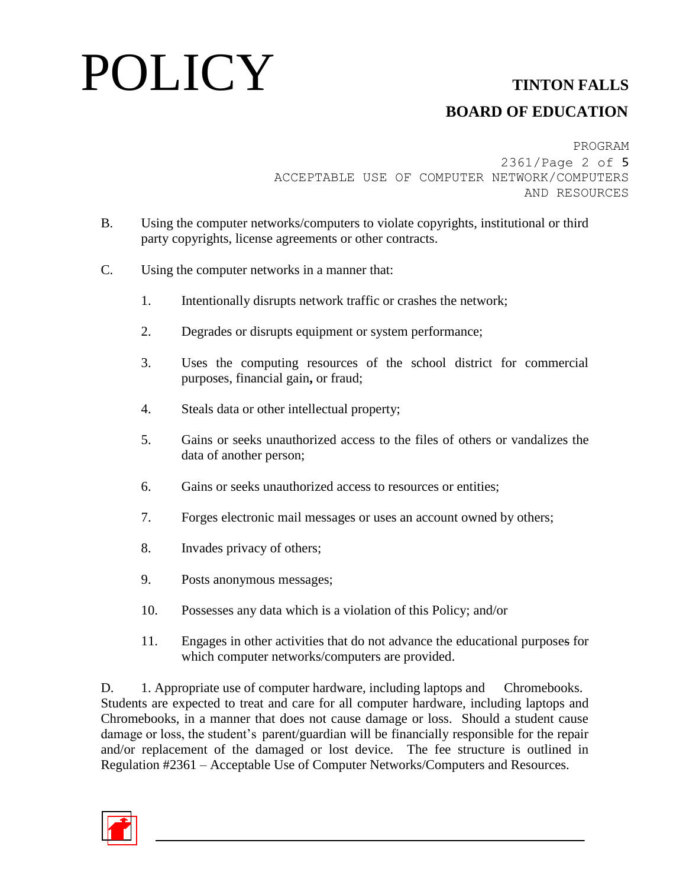## **BOARD OF EDUCATION**

PROGRAM 2361/Page 2 of 5 ACCEPTABLE USE OF COMPUTER NETWORK/COMPUTERS AND RESOURCES

- B. Using the computer networks/computers to violate copyrights, institutional or third party copyrights, license agreements or other contracts.
- C. Using the computer networks in a manner that:
	- 1. Intentionally disrupts network traffic or crashes the network;
	- 2. Degrades or disrupts equipment or system performance;
	- 3. Uses the computing resources of the school district for commercial purposes, financial gain**,** or fraud;
	- 4. Steals data or other intellectual property;
	- 5. Gains or seeks unauthorized access to the files of others or vandalizes the data of another person;
	- 6. Gains or seeks unauthorized access to resources or entities;
	- 7. Forges electronic mail messages or uses an account owned by others;
	- 8. Invades privacy of others;
	- 9. Posts anonymous messages;
	- 10. Possesses any data which is a violation of this Policy; and/or
	- 11. Engages in other activities that do not advance the educational purposes for which computer networks/computers are provided.

D. 1. Appropriate use of computer hardware, including laptops and Chromebooks. Students are expected to treat and care for all computer hardware, including laptops and Chromebooks, in a manner that does not cause damage or loss. Should a student cause damage or loss, the student's parent/guardian will be financially responsible for the repair and/or replacement of the damaged or lost device. The fee structure is outlined in Regulation #2361 – Acceptable Use of Computer Networks/Computers and Resources.

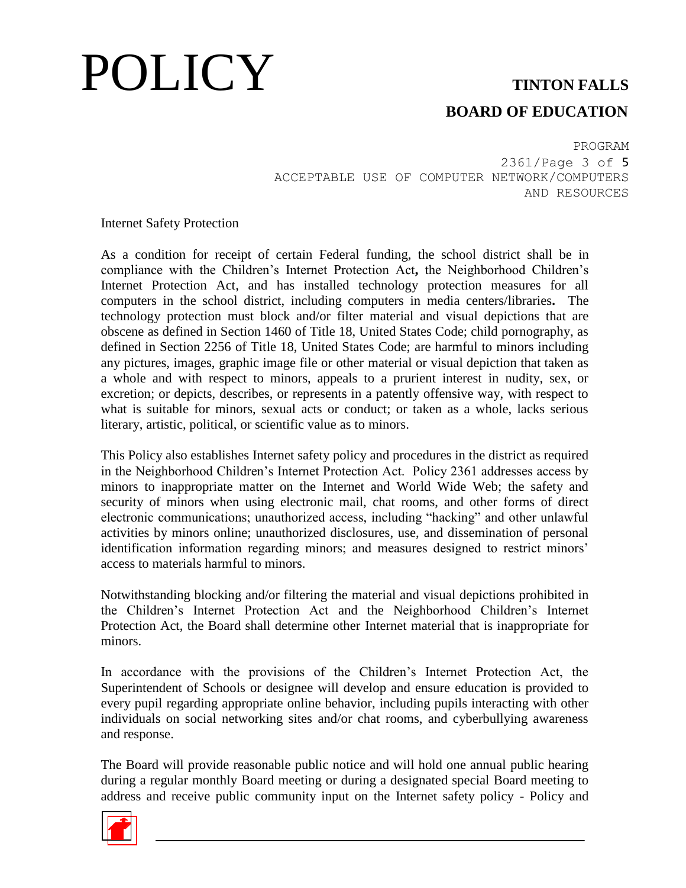## **BOARD OF EDUCATION**

PROGRAM 2361/Page 3 of 5 ACCEPTABLE USE OF COMPUTER NETWORK/COMPUTERS AND RESOURCES

Internet Safety Protection

As a condition for receipt of certain Federal funding, the school district shall be in compliance with the Children's Internet Protection Act**,** the Neighborhood Children's Internet Protection Act, and has installed technology protection measures for all computers in the school district, including computers in media centers/libraries**.** The technology protection must block and/or filter material and visual depictions that are obscene as defined in Section 1460 of Title 18, United States Code; child pornography, as defined in Section 2256 of Title 18, United States Code; are harmful to minors including any pictures, images, graphic image file or other material or visual depiction that taken as a whole and with respect to minors, appeals to a prurient interest in nudity, sex, or excretion; or depicts, describes, or represents in a patently offensive way, with respect to what is suitable for minors, sexual acts or conduct; or taken as a whole, lacks serious literary, artistic, political, or scientific value as to minors.

This Policy also establishes Internet safety policy and procedures in the district as required in the Neighborhood Children's Internet Protection Act. Policy 2361 addresses access by minors to inappropriate matter on the Internet and World Wide Web; the safety and security of minors when using electronic mail, chat rooms, and other forms of direct electronic communications; unauthorized access, including "hacking" and other unlawful activities by minors online; unauthorized disclosures, use, and dissemination of personal identification information regarding minors; and measures designed to restrict minors' access to materials harmful to minors.

Notwithstanding blocking and/or filtering the material and visual depictions prohibited in the Children's Internet Protection Act and the Neighborhood Children's Internet Protection Act, the Board shall determine other Internet material that is inappropriate for minors.

In accordance with the provisions of the Children's Internet Protection Act, the Superintendent of Schools or designee will develop and ensure education is provided to every pupil regarding appropriate online behavior, including pupils interacting with other individuals on social networking sites and/or chat rooms, and cyberbullying awareness and response.

The Board will provide reasonable public notice and will hold one annual public hearing during a regular monthly Board meeting or during a designated special Board meeting to address and receive public community input on the Internet safety policy - Policy and

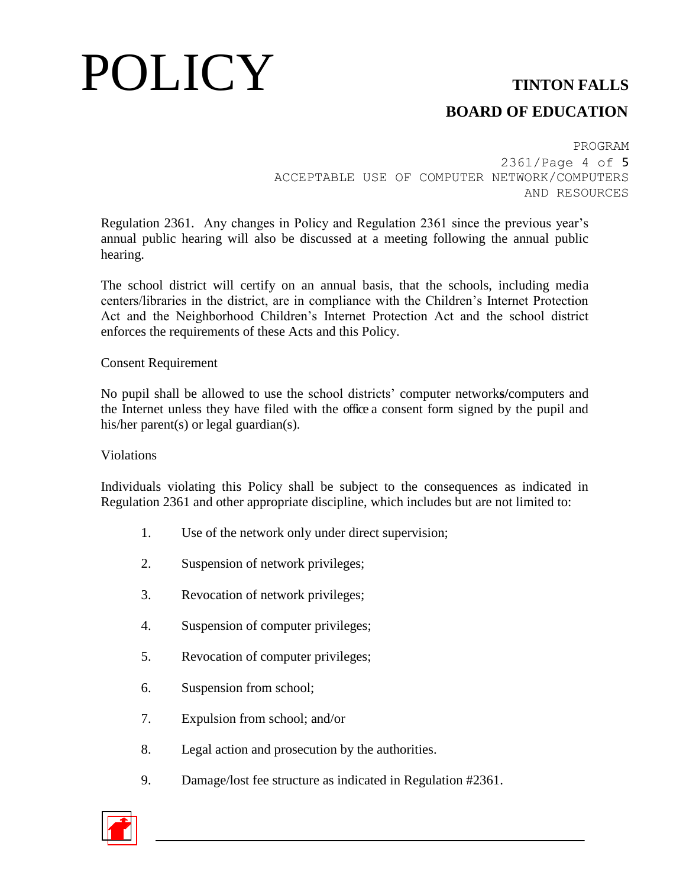## **BOARD OF EDUCATION**

PROGRAM 2361/Page 4 of 5 ACCEPTABLE USE OF COMPUTER NETWORK/COMPUTERS AND RESOURCES

Regulation 2361. Any changes in Policy and Regulation 2361 since the previous year's annual public hearing will also be discussed at a meeting following the annual public hearing.

The school district will certify on an annual basis, that the schools, including media centers/libraries in the district, are in compliance with the Children's Internet Protection Act and the Neighborhood Children's Internet Protection Act and the school district enforces the requirements of these Acts and this Policy.

### Consent Requirement

No pupil shall be allowed to use the school districts' computer network**s/**computers and the Internet unless they have filed with the office a consent form signed by the pupil and his/her parent(s) or legal guardian(s).

#### Violations

Individuals violating this Policy shall be subject to the consequences as indicated in Regulation 2361 and other appropriate discipline, which includes but are not limited to:

- 1. Use of the network only under direct supervision;
- 2. Suspension of network privileges;
- 3. Revocation of network privileges;
- 4. Suspension of computer privileges;
- 5. Revocation of computer privileges;
- 6. Suspension from school;
- 7. Expulsion from school; and/or
- 8. Legal action and prosecution by the authorities.
- 9. Damage/lost fee structure as indicated in Regulation #2361.